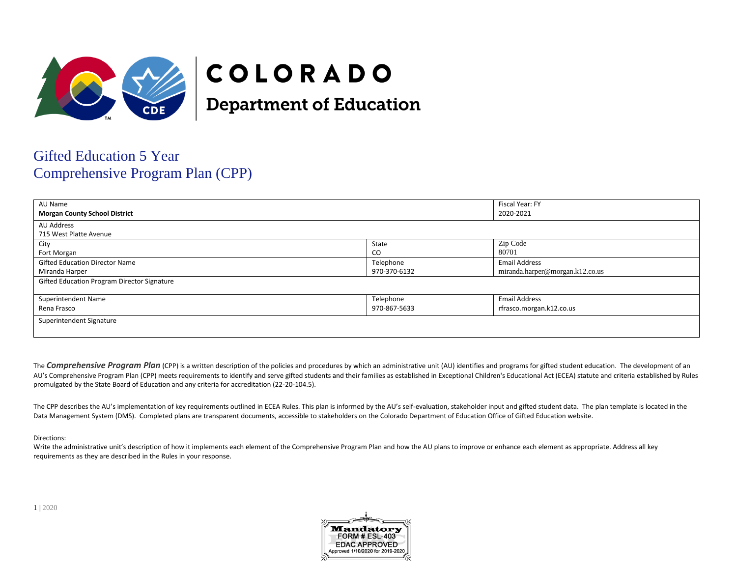

# COLORADO

**Department of Education** 

# Gifted Education 5 Year Comprehensive Program Plan (CPP)

| AU Name                                     |              | Fiscal Year: FY                 |  |
|---------------------------------------------|--------------|---------------------------------|--|
| <b>Morgan County School District</b>        |              | 2020-2021                       |  |
| AU Address                                  |              |                                 |  |
| 715 West Platte Avenue                      |              |                                 |  |
| City                                        | State        | Zip Code                        |  |
| Fort Morgan                                 | <b>CO</b>    | 80701                           |  |
| <b>Gifted Education Director Name</b>       | Telephone    | <b>Email Address</b>            |  |
| Miranda Harper                              | 970-370-6132 | miranda.harper@morgan.k12.co.us |  |
| Gifted Education Program Director Signature |              |                                 |  |
|                                             |              |                                 |  |
| Superintendent Name                         | Telephone    | <b>Email Address</b>            |  |
| Rena Frasco                                 | 970-867-5633 | rfrasco.morgan.k12.co.us        |  |
| Superintendent Signature                    |              |                                 |  |
|                                             |              |                                 |  |

The **Comprehensive Program Plan** (CPP) is a written description of the policies and procedures by which an administrative unit (AU) identifies and programs for gifted student education. The development of an AU's Comprehensive Program Plan (CPP) meets requirements to identify and serve gifted students and their families as established in Exceptional Children's Educational Act (ECEA) statute and criteria established by Rules promulgated by the State Board of Education and any criteria for accreditation (22-20-104.5).

The CPP describes the AU's implementation of key requirements outlined in ECEA Rules. This plan is informed by the AU's self-evaluation, stakeholder input and gifted student data. The plan template is located in the Data Management System (DMS). Completed plans are transparent documents, accessible to stakeholders on the Colorado Department of Education Office of Gifted Education website.

# Directions:

Write the administrative unit's description of how it implements each element of the Comprehensive Program Plan and how the AU plans to improve or enhance each element as appropriate. Address all key requirements as they are described in the Rules in your response.

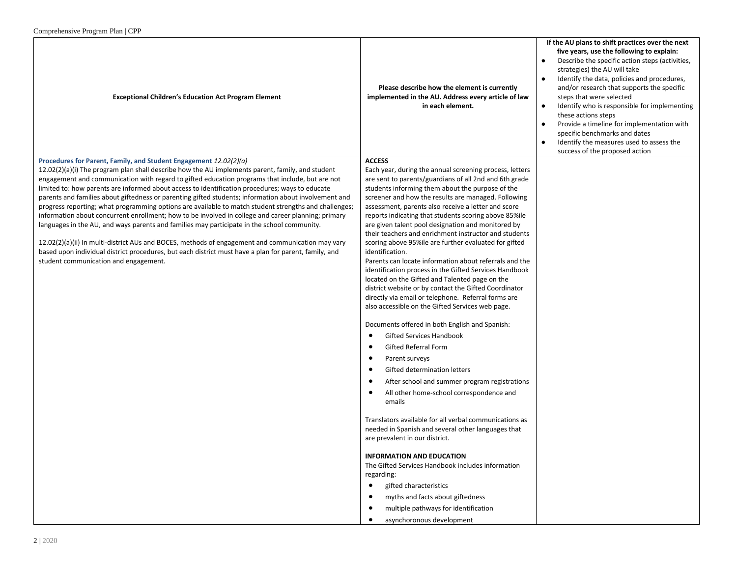| $\epsilon$ comprendition $\epsilon$ is a region of the set of $\epsilon$                                                                                                                                                                                                                                                                                                                                                                                                                                                                                                                                                                                                                                                                                                                                                                                                                                                                                                                                                                                     |                                                                                                                                                                                                                                                                                                                                                                                                                                                                                                                                                                                                                                                                                                                                                                                                                                                                                                                                                                                                                                                                                                                                                                                             |                                                                                                                                                                                                                                                                                                                                                                                                                                                                                                                                                            |
|--------------------------------------------------------------------------------------------------------------------------------------------------------------------------------------------------------------------------------------------------------------------------------------------------------------------------------------------------------------------------------------------------------------------------------------------------------------------------------------------------------------------------------------------------------------------------------------------------------------------------------------------------------------------------------------------------------------------------------------------------------------------------------------------------------------------------------------------------------------------------------------------------------------------------------------------------------------------------------------------------------------------------------------------------------------|---------------------------------------------------------------------------------------------------------------------------------------------------------------------------------------------------------------------------------------------------------------------------------------------------------------------------------------------------------------------------------------------------------------------------------------------------------------------------------------------------------------------------------------------------------------------------------------------------------------------------------------------------------------------------------------------------------------------------------------------------------------------------------------------------------------------------------------------------------------------------------------------------------------------------------------------------------------------------------------------------------------------------------------------------------------------------------------------------------------------------------------------------------------------------------------------|------------------------------------------------------------------------------------------------------------------------------------------------------------------------------------------------------------------------------------------------------------------------------------------------------------------------------------------------------------------------------------------------------------------------------------------------------------------------------------------------------------------------------------------------------------|
| <b>Exceptional Children's Education Act Program Element</b>                                                                                                                                                                                                                                                                                                                                                                                                                                                                                                                                                                                                                                                                                                                                                                                                                                                                                                                                                                                                  | Please describe how the element is currently<br>implemented in the AU. Address every article of law<br>in each element.                                                                                                                                                                                                                                                                                                                                                                                                                                                                                                                                                                                                                                                                                                                                                                                                                                                                                                                                                                                                                                                                     | If the AU plans to shift practices over the next<br>five years, use the following to explain:<br>Describe the specific action steps (activities,<br>strategies) the AU will take<br>Identify the data, policies and procedures,<br>and/or research that supports the specific<br>steps that were selected<br>Identify who is responsible for implementing<br>$\bullet$<br>these actions steps<br>Provide a timeline for implementation with<br>specific benchmarks and dates<br>Identify the measures used to assess the<br>success of the proposed action |
|                                                                                                                                                                                                                                                                                                                                                                                                                                                                                                                                                                                                                                                                                                                                                                                                                                                                                                                                                                                                                                                              | <b>ACCESS</b>                                                                                                                                                                                                                                                                                                                                                                                                                                                                                                                                                                                                                                                                                                                                                                                                                                                                                                                                                                                                                                                                                                                                                                               |                                                                                                                                                                                                                                                                                                                                                                                                                                                                                                                                                            |
| Procedures for Parent, Family, and Student Engagement 12.02(2)(a)<br>$12.02(2)(a)(i)$ The program plan shall describe how the AU implements parent, family, and student<br>engagement and communication with regard to gifted education programs that include, but are not<br>limited to: how parents are informed about access to identification procedures; ways to educate<br>parents and families about giftedness or parenting gifted students; information about involvement and<br>progress reporting; what programming options are available to match student strengths and challenges;<br>information about concurrent enrollment; how to be involved in college and career planning; primary<br>languages in the AU, and ways parents and families may participate in the school community.<br>12.02(2)(a)(ii) In multi-district AUs and BOCES, methods of engagement and communication may vary<br>based upon individual district procedures, but each district must have a plan for parent, family, and<br>student communication and engagement. | Each year, during the annual screening process, letters<br>are sent to parents/guardians of all 2nd and 6th grade<br>students informing them about the purpose of the<br>screener and how the results are managed. Following<br>assessment, parents also receive a letter and score<br>reports indicating that students scoring above 85% ile<br>are given talent pool designation and monitored by<br>their teachers and enrichment instructor and students<br>scoring above 95% le are further evaluated for gifted<br>identification.<br>Parents can locate information about referrals and the<br>identification process in the Gifted Services Handbook<br>located on the Gifted and Talented page on the<br>district website or by contact the Gifted Coordinator<br>directly via email or telephone. Referral forms are<br>also accessible on the Gifted Services web page.<br>Documents offered in both English and Spanish:<br><b>Gifted Services Handbook</b><br><b>Gifted Referral Form</b><br>٠<br>Parent surveys<br>Gifted determination letters<br>٠<br>After school and summer program registrations<br>$\bullet$<br>All other home-school correspondence and<br>٠<br>emails |                                                                                                                                                                                                                                                                                                                                                                                                                                                                                                                                                            |
|                                                                                                                                                                                                                                                                                                                                                                                                                                                                                                                                                                                                                                                                                                                                                                                                                                                                                                                                                                                                                                                              | Translators available for all verbal communications as<br>needed in Spanish and several other languages that<br>are prevalent in our district.<br><b>INFORMATION AND EDUCATION</b>                                                                                                                                                                                                                                                                                                                                                                                                                                                                                                                                                                                                                                                                                                                                                                                                                                                                                                                                                                                                          |                                                                                                                                                                                                                                                                                                                                                                                                                                                                                                                                                            |
|                                                                                                                                                                                                                                                                                                                                                                                                                                                                                                                                                                                                                                                                                                                                                                                                                                                                                                                                                                                                                                                              | The Gifted Services Handbook includes information<br>regarding:                                                                                                                                                                                                                                                                                                                                                                                                                                                                                                                                                                                                                                                                                                                                                                                                                                                                                                                                                                                                                                                                                                                             |                                                                                                                                                                                                                                                                                                                                                                                                                                                                                                                                                            |
|                                                                                                                                                                                                                                                                                                                                                                                                                                                                                                                                                                                                                                                                                                                                                                                                                                                                                                                                                                                                                                                              | gifted characteristics<br>$\bullet$                                                                                                                                                                                                                                                                                                                                                                                                                                                                                                                                                                                                                                                                                                                                                                                                                                                                                                                                                                                                                                                                                                                                                         |                                                                                                                                                                                                                                                                                                                                                                                                                                                                                                                                                            |
|                                                                                                                                                                                                                                                                                                                                                                                                                                                                                                                                                                                                                                                                                                                                                                                                                                                                                                                                                                                                                                                              | myths and facts about giftedness<br>multiple pathways for identification                                                                                                                                                                                                                                                                                                                                                                                                                                                                                                                                                                                                                                                                                                                                                                                                                                                                                                                                                                                                                                                                                                                    |                                                                                                                                                                                                                                                                                                                                                                                                                                                                                                                                                            |
|                                                                                                                                                                                                                                                                                                                                                                                                                                                                                                                                                                                                                                                                                                                                                                                                                                                                                                                                                                                                                                                              | asynchoronous development                                                                                                                                                                                                                                                                                                                                                                                                                                                                                                                                                                                                                                                                                                                                                                                                                                                                                                                                                                                                                                                                                                                                                                   |                                                                                                                                                                                                                                                                                                                                                                                                                                                                                                                                                            |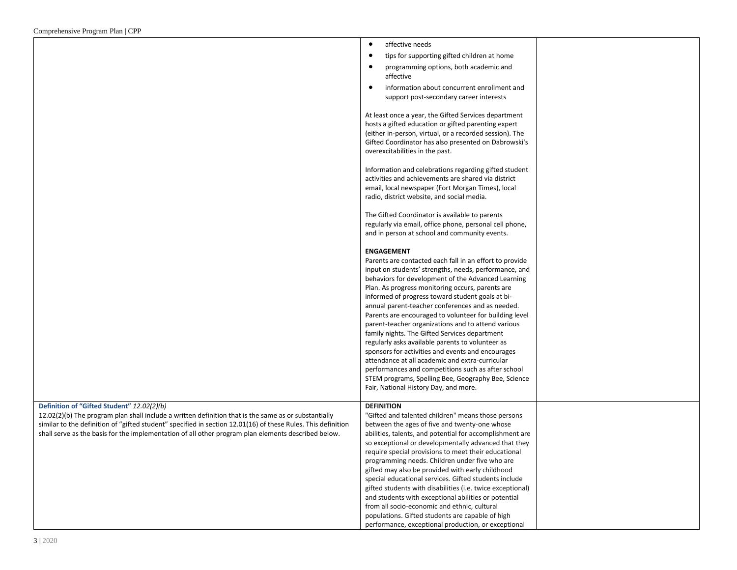|                                                                                                              | affective needs<br>$\bullet$                                                                                     |  |
|--------------------------------------------------------------------------------------------------------------|------------------------------------------------------------------------------------------------------------------|--|
|                                                                                                              |                                                                                                                  |  |
|                                                                                                              | $\bullet$<br>tips for supporting gifted children at home                                                         |  |
|                                                                                                              | programming options, both academic and<br>$\bullet$<br>affective                                                 |  |
|                                                                                                              | $\bullet$<br>information about concurrent enrollment and                                                         |  |
|                                                                                                              | support post-secondary career interests                                                                          |  |
|                                                                                                              |                                                                                                                  |  |
|                                                                                                              | At least once a year, the Gifted Services department                                                             |  |
|                                                                                                              | hosts a gifted education or gifted parenting expert                                                              |  |
|                                                                                                              | (either in-person, virtual, or a recorded session). The                                                          |  |
|                                                                                                              | Gifted Coordinator has also presented on Dabrowski's                                                             |  |
|                                                                                                              | overexcitabilities in the past.                                                                                  |  |
|                                                                                                              |                                                                                                                  |  |
|                                                                                                              | Information and celebrations regarding gifted student<br>activities and achievements are shared via district     |  |
|                                                                                                              | email, local newspaper (Fort Morgan Times), local                                                                |  |
|                                                                                                              | radio, district website, and social media.                                                                       |  |
|                                                                                                              |                                                                                                                  |  |
|                                                                                                              | The Gifted Coordinator is available to parents                                                                   |  |
|                                                                                                              | regularly via email, office phone, personal cell phone,                                                          |  |
|                                                                                                              | and in person at school and community events.                                                                    |  |
|                                                                                                              |                                                                                                                  |  |
|                                                                                                              | <b>ENGAGEMENT</b>                                                                                                |  |
|                                                                                                              | Parents are contacted each fall in an effort to provide<br>input on students' strengths, needs, performance, and |  |
|                                                                                                              | behaviors for development of the Advanced Learning                                                               |  |
|                                                                                                              | Plan. As progress monitoring occurs, parents are                                                                 |  |
|                                                                                                              | informed of progress toward student goals at bi-                                                                 |  |
|                                                                                                              | annual parent-teacher conferences and as needed.                                                                 |  |
|                                                                                                              | Parents are encouraged to volunteer for building level                                                           |  |
|                                                                                                              | parent-teacher organizations and to attend various                                                               |  |
|                                                                                                              | family nights. The Gifted Services department                                                                    |  |
|                                                                                                              | regularly asks available parents to volunteer as                                                                 |  |
|                                                                                                              | sponsors for activities and events and encourages                                                                |  |
|                                                                                                              | attendance at all academic and extra-curricular                                                                  |  |
|                                                                                                              | performances and competitions such as after school<br>STEM programs, Spelling Bee, Geography Bee, Science        |  |
|                                                                                                              | Fair, National History Day, and more.                                                                            |  |
|                                                                                                              |                                                                                                                  |  |
| Definition of "Gifted Student" 12.02(2)(b)                                                                   | <b>DEFINITION</b>                                                                                                |  |
| 12.02(2)(b) The program plan shall include a written definition that is the same as or substantially         | "Gifted and talented children" means those persons                                                               |  |
| similar to the definition of "gifted student" specified in section 12.01(16) of these Rules. This definition | between the ages of five and twenty-one whose                                                                    |  |
| shall serve as the basis for the implementation of all other program plan elements described below.          | abilities, talents, and potential for accomplishment are                                                         |  |
|                                                                                                              | so exceptional or developmentally advanced that they                                                             |  |
|                                                                                                              | require special provisions to meet their educational                                                             |  |
|                                                                                                              | programming needs. Children under five who are<br>gifted may also be provided with early childhood               |  |
|                                                                                                              | special educational services. Gifted students include                                                            |  |
|                                                                                                              | gifted students with disabilities (i.e. twice exceptional)                                                       |  |
|                                                                                                              | and students with exceptional abilities or potential                                                             |  |
|                                                                                                              | from all socio-economic and ethnic, cultural                                                                     |  |
|                                                                                                              | populations. Gifted students are capable of high                                                                 |  |
|                                                                                                              | performance, exceptional production, or exceptional                                                              |  |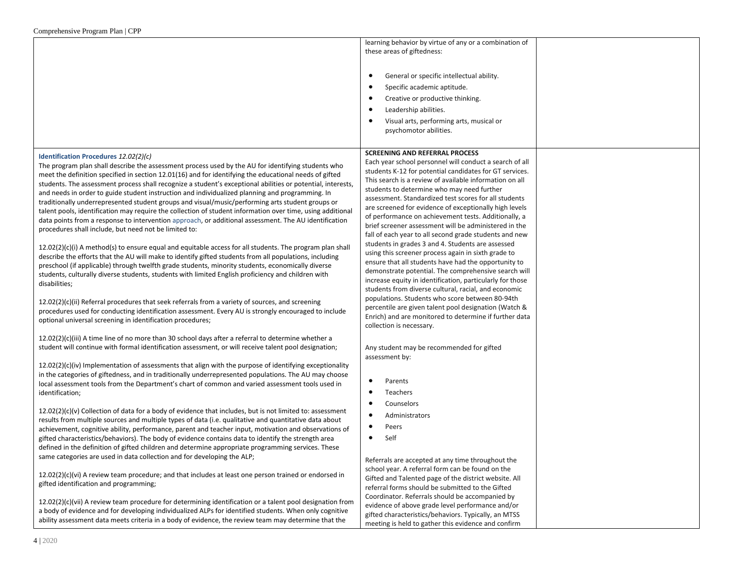|                                                                                                                                                                                                                      | learning behavior by virtue of any or a combination of<br>these areas of giftedness:                               |  |
|----------------------------------------------------------------------------------------------------------------------------------------------------------------------------------------------------------------------|--------------------------------------------------------------------------------------------------------------------|--|
|                                                                                                                                                                                                                      | General or specific intellectual ability.<br>$\bullet$                                                             |  |
|                                                                                                                                                                                                                      | Specific academic aptitude.                                                                                        |  |
|                                                                                                                                                                                                                      | Creative or productive thinking.                                                                                   |  |
|                                                                                                                                                                                                                      | Leadership abilities.                                                                                              |  |
|                                                                                                                                                                                                                      | Visual arts, performing arts, musical or                                                                           |  |
|                                                                                                                                                                                                                      | psychomotor abilities.                                                                                             |  |
| Identification Procedures 12.02(2)(c)                                                                                                                                                                                | <b>SCREENING AND REFERRAL PROCESS</b>                                                                              |  |
| The program plan shall describe the assessment process used by the AU for identifying students who                                                                                                                   | Each year school personnel will conduct a search of all                                                            |  |
| meet the definition specified in section 12.01(16) and for identifying the educational needs of gifted                                                                                                               | students K-12 for potential candidates for GT services.<br>This search is a review of available information on all |  |
| students. The assessment process shall recognize a student's exceptional abilities or potential, interests,                                                                                                          | students to determine who may need further                                                                         |  |
| and needs in order to guide student instruction and individualized planning and programming. In<br>traditionally underrepresented student groups and visual/music/performing arts student groups or                  | assessment. Standardized test scores for all students                                                              |  |
| talent pools, identification may require the collection of student information over time, using additional                                                                                                           | are screened for evidence of exceptionally high levels                                                             |  |
| data points from a response to intervention approach, or additional assessment. The AU identification                                                                                                                | of performance on achievement tests. Additionally, a                                                               |  |
| procedures shall include, but need not be limited to:                                                                                                                                                                | brief screener assessment will be administered in the<br>fall of each year to all second grade students and new    |  |
|                                                                                                                                                                                                                      | students in grades 3 and 4. Students are assessed                                                                  |  |
| $12.02(2)(c)(i)$ A method(s) to ensure equal and equitable access for all students. The program plan shall<br>describe the efforts that the AU will make to identify gifted students from all populations, including | using this screener process again in sixth grade to                                                                |  |
| preschool (if applicable) through twelfth grade students, minority students, economically diverse                                                                                                                    | ensure that all students have had the opportunity to                                                               |  |
| students, culturally diverse students, students with limited English proficiency and children with                                                                                                                   | demonstrate potential. The comprehensive search will                                                               |  |
| disabilities;                                                                                                                                                                                                        | increase equity in identification, particularly for those<br>students from diverse cultural, racial, and economic  |  |
|                                                                                                                                                                                                                      | populations. Students who score between 80-94th                                                                    |  |
| 12.02(2)(c)(ii) Referral procedures that seek referrals from a variety of sources, and screening<br>procedures used for conducting identification assessment. Every AU is strongly encouraged to include             | percentile are given talent pool designation (Watch &                                                              |  |
| optional universal screening in identification procedures;                                                                                                                                                           | Enrich) and are monitored to determine if further data                                                             |  |
|                                                                                                                                                                                                                      | collection is necessary.                                                                                           |  |
| $12.02(2)(c)(iii)$ A time line of no more than 30 school days after a referral to determine whether a                                                                                                                |                                                                                                                    |  |
| student will continue with formal identification assessment, or will receive talent pool designation;                                                                                                                | Any student may be recommended for gifted                                                                          |  |
| $12.02(2)(c)(iv)$ Implementation of assessments that align with the purpose of identifying exceptionality                                                                                                            | assessment by:                                                                                                     |  |
| in the categories of giftedness, and in traditionally underrepresented populations. The AU may choose                                                                                                                |                                                                                                                    |  |
| local assessment tools from the Department's chart of common and varied assessment tools used in<br>identification;                                                                                                  | Parents<br>Teachers                                                                                                |  |
|                                                                                                                                                                                                                      | Counselors                                                                                                         |  |
| $12.02(2)(c)(v)$ Collection of data for a body of evidence that includes, but is not limited to: assessment                                                                                                          | Administrators                                                                                                     |  |
| results from multiple sources and multiple types of data (i.e. qualitative and quantitative data about                                                                                                               | Peers                                                                                                              |  |
| achievement, cognitive ability, performance, parent and teacher input, motivation and observations of<br>gifted characteristics/behaviors). The body of evidence contains data to identify the strength area         | Self                                                                                                               |  |
| defined in the definition of gifted children and determine appropriate programming services. These                                                                                                                   |                                                                                                                    |  |
| same categories are used in data collection and for developing the ALP;                                                                                                                                              | Referrals are accepted at any time throughout the                                                                  |  |
|                                                                                                                                                                                                                      | school year. A referral form can be found on the                                                                   |  |
| $12.02(2)(c)(vi)$ A review team procedure; and that includes at least one person trained or endorsed in                                                                                                              | Gifted and Talented page of the district website. All                                                              |  |
| gifted identification and programming;                                                                                                                                                                               | referral forms should be submitted to the Gifted                                                                   |  |
| $12.02(2)(c)(vii)$ A review team procedure for determining identification or a talent pool designation from                                                                                                          | Coordinator. Referrals should be accompanied by                                                                    |  |
| a body of evidence and for developing individualized ALPs for identified students. When only cognitive                                                                                                               | evidence of above grade level performance and/or<br>gifted characteristics/behaviors. Typically, an MTSS           |  |
| ability assessment data meets criteria in a body of evidence, the review team may determine that the                                                                                                                 | meeting is held to gather this evidence and confirm                                                                |  |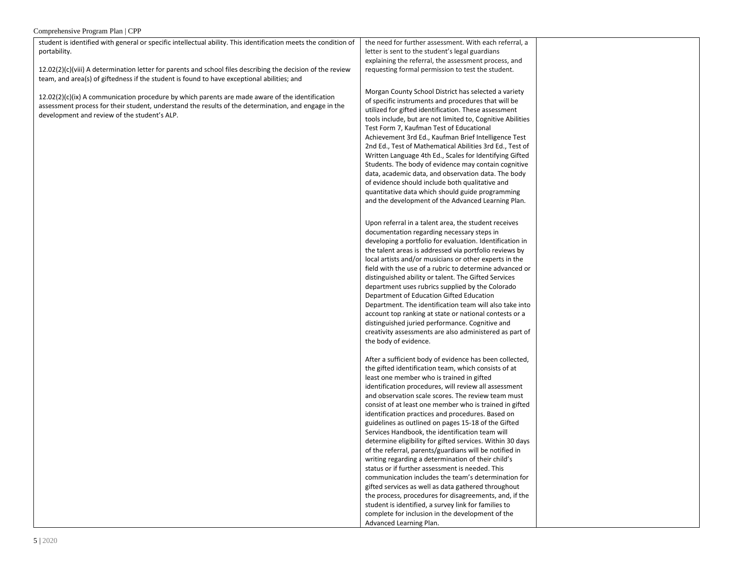| student is identified with general or specific intellectual ability. This identification meets the condition of | the need for further assessment. With each referral, a     |  |
|-----------------------------------------------------------------------------------------------------------------|------------------------------------------------------------|--|
| portability.                                                                                                    | letter is sent to the student's legal guardians            |  |
|                                                                                                                 | explaining the referral, the assessment process, and       |  |
| $12.02(2)(c)(viii)$ A determination letter for parents and school files describing the decision of the review   | requesting formal permission to test the student.          |  |
| team, and area(s) of giftedness if the student is found to have exceptional abilities; and                      |                                                            |  |
|                                                                                                                 | Morgan County School District has selected a variety       |  |
| $12.02(2)(c)(ix)$ A communication procedure by which parents are made aware of the identification               | of specific instruments and procedures that will be        |  |
| assessment process for their student, understand the results of the determination, and engage in the            | utilized for gifted identification. These assessment       |  |
| development and review of the student's ALP.                                                                    | tools include, but are not limited to, Cognitive Abilities |  |
|                                                                                                                 | Test Form 7, Kaufman Test of Educational                   |  |
|                                                                                                                 | Achievement 3rd Ed., Kaufman Brief Intelligence Test       |  |
|                                                                                                                 | 2nd Ed., Test of Mathematical Abilities 3rd Ed., Test of   |  |
|                                                                                                                 | Written Language 4th Ed., Scales for Identifying Gifted    |  |
|                                                                                                                 | Students. The body of evidence may contain cognitive       |  |
|                                                                                                                 | data, academic data, and observation data. The body        |  |
|                                                                                                                 | of evidence should include both qualitative and            |  |
|                                                                                                                 | quantitative data which should guide programming           |  |
|                                                                                                                 | and the development of the Advanced Learning Plan.         |  |
|                                                                                                                 |                                                            |  |
|                                                                                                                 | Upon referral in a talent area, the student receives       |  |
|                                                                                                                 | documentation regarding necessary steps in                 |  |
|                                                                                                                 | developing a portfolio for evaluation. Identification in   |  |
|                                                                                                                 | the talent areas is addressed via portfolio reviews by     |  |
|                                                                                                                 | local artists and/or musicians or other experts in the     |  |
|                                                                                                                 | field with the use of a rubric to determine advanced or    |  |
|                                                                                                                 | distinguished ability or talent. The Gifted Services       |  |
|                                                                                                                 | department uses rubrics supplied by the Colorado           |  |
|                                                                                                                 | Department of Education Gifted Education                   |  |
|                                                                                                                 | Department. The identification team will also take into    |  |
|                                                                                                                 | account top ranking at state or national contests or a     |  |
|                                                                                                                 | distinguished juried performance. Cognitive and            |  |
|                                                                                                                 | creativity assessments are also administered as part of    |  |
|                                                                                                                 | the body of evidence.                                      |  |
|                                                                                                                 | After a sufficient body of evidence has been collected,    |  |
|                                                                                                                 | the gifted identification team, which consists of at       |  |
|                                                                                                                 | least one member who is trained in gifted                  |  |
|                                                                                                                 | identification procedures, will review all assessment      |  |
|                                                                                                                 | and observation scale scores. The review team must         |  |
|                                                                                                                 | consist of at least one member who is trained in gifted    |  |
|                                                                                                                 | identification practices and procedures. Based on          |  |
|                                                                                                                 | guidelines as outlined on pages 15-18 of the Gifted        |  |
|                                                                                                                 | Services Handbook, the identification team will            |  |
|                                                                                                                 | determine eligibility for gifted services. Within 30 days  |  |
|                                                                                                                 | of the referral, parents/guardians will be notified in     |  |
|                                                                                                                 | writing regarding a determination of their child's         |  |
|                                                                                                                 | status or if further assessment is needed. This            |  |
|                                                                                                                 | communication includes the team's determination for        |  |
|                                                                                                                 | gifted services as well as data gathered throughout        |  |
|                                                                                                                 | the process, procedures for disagreements, and, if the     |  |
|                                                                                                                 | student is identified, a survey link for families to       |  |
|                                                                                                                 | complete for inclusion in the development of the           |  |
|                                                                                                                 | Advanced Learning Plan.                                    |  |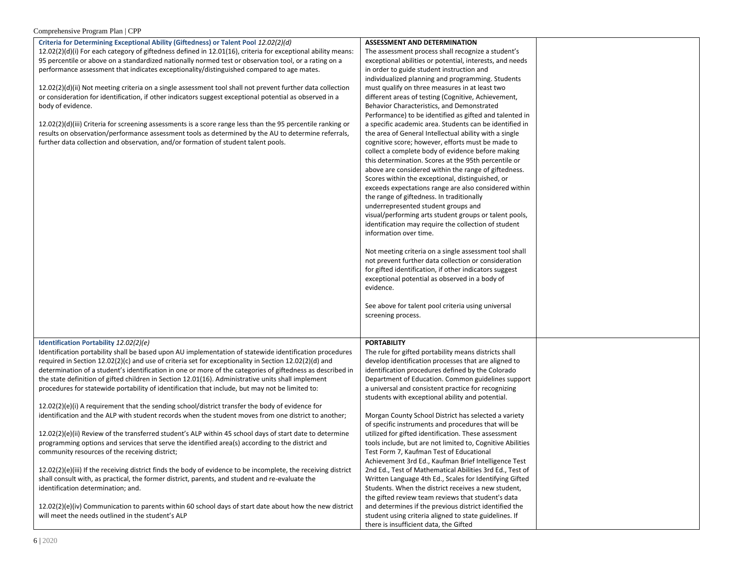| Criteria for Determining Exceptional Ability (Giftedness) or Talent Pool 12.02(2)(d)                             | <b>ASSESSMENT AND DETERMINATION</b>                        |  |
|------------------------------------------------------------------------------------------------------------------|------------------------------------------------------------|--|
| $12.02(2)(d)(i)$ For each category of giftedness defined in 12.01(16), criteria for exceptional ability means:   | The assessment process shall recognize a student's         |  |
| 95 percentile or above on a standardized nationally normed test or observation tool, or a rating on a            | exceptional abilities or potential, interests, and needs   |  |
| performance assessment that indicates exceptionality/distinguished compared to age mates.                        | in order to guide student instruction and                  |  |
|                                                                                                                  | individualized planning and programming. Students          |  |
|                                                                                                                  | must qualify on three measures in at least two             |  |
| 12.02(2)(d)(ii) Not meeting criteria on a single assessment tool shall not prevent further data collection       |                                                            |  |
| or consideration for identification, if other indicators suggest exceptional potential as observed in a          | different areas of testing (Cognitive, Achievement,        |  |
| body of evidence.                                                                                                | Behavior Characteristics, and Demonstrated                 |  |
|                                                                                                                  | Performance) to be identified as gifted and talented in    |  |
| $12.02(2)(d)(iii)$ Criteria for screening assessments is a score range less than the 95 percentile ranking or    | a specific academic area. Students can be identified in    |  |
| results on observation/performance assessment tools as determined by the AU to determine referrals,              | the area of General Intellectual ability with a single     |  |
| further data collection and observation, and/or formation of student talent pools.                               | cognitive score; however, efforts must be made to          |  |
|                                                                                                                  | collect a complete body of evidence before making          |  |
|                                                                                                                  | this determination. Scores at the 95th percentile or       |  |
|                                                                                                                  | above are considered within the range of giftedness.       |  |
|                                                                                                                  | Scores within the exceptional, distinguished, or           |  |
|                                                                                                                  | exceeds expectations range are also considered within      |  |
|                                                                                                                  |                                                            |  |
|                                                                                                                  | the range of giftedness. In traditionally                  |  |
|                                                                                                                  | underrepresented student groups and                        |  |
|                                                                                                                  | visual/performing arts student groups or talent pools,     |  |
|                                                                                                                  | identification may require the collection of student       |  |
|                                                                                                                  | information over time.                                     |  |
|                                                                                                                  |                                                            |  |
|                                                                                                                  | Not meeting criteria on a single assessment tool shall     |  |
|                                                                                                                  | not prevent further data collection or consideration       |  |
|                                                                                                                  | for gifted identification, if other indicators suggest     |  |
|                                                                                                                  | exceptional potential as observed in a body of             |  |
|                                                                                                                  | evidence.                                                  |  |
|                                                                                                                  |                                                            |  |
|                                                                                                                  | See above for talent pool criteria using universal         |  |
|                                                                                                                  |                                                            |  |
|                                                                                                                  | screening process.                                         |  |
|                                                                                                                  |                                                            |  |
|                                                                                                                  |                                                            |  |
| Identification Portability 12.02(2)(e)                                                                           | <b>PORTABILITY</b>                                         |  |
| Identification portability shall be based upon AU implementation of statewide identification procedures          | The rule for gifted portability means districts shall      |  |
| required in Section 12.02(2)(c) and use of criteria set for exceptionality in Section 12.02(2)(d) and            | develop identification processes that are aligned to       |  |
| determination of a student's identification in one or more of the categories of giftedness as described in       | identification procedures defined by the Colorado          |  |
| the state definition of gifted children in Section 12.01(16). Administrative units shall implement               | Department of Education. Common guidelines support         |  |
| procedures for statewide portability of identification that include, but may not be limited to:                  | a universal and consistent practice for recognizing        |  |
|                                                                                                                  | students with exceptional ability and potential.           |  |
| $12.02(2)(e)(i)$ A requirement that the sending school/district transfer the body of evidence for                |                                                            |  |
| identification and the ALP with student records when the student moves from one district to another;             | Morgan County School District has selected a variety       |  |
|                                                                                                                  | of specific instruments and procedures that will be        |  |
| 12.02(2)(e)(ii) Review of the transferred student's ALP within 45 school days of start date to determine         | utilized for gifted identification. These assessment       |  |
| programming options and services that serve the identified area(s) according to the district and                 | tools include, but are not limited to, Cognitive Abilities |  |
|                                                                                                                  |                                                            |  |
| community resources of the receiving district;                                                                   | Test Form 7, Kaufman Test of Educational                   |  |
|                                                                                                                  | Achievement 3rd Ed., Kaufman Brief Intelligence Test       |  |
| $12.02(2)(e)(iii)$ If the receiving district finds the body of evidence to be incomplete, the receiving district | 2nd Ed., Test of Mathematical Abilities 3rd Ed., Test of   |  |
| shall consult with, as practical, the former district, parents, and student and re-evaluate the                  | Written Language 4th Ed., Scales for Identifying Gifted    |  |
| identification determination; and.                                                                               | Students. When the district receives a new student,        |  |
|                                                                                                                  | the gifted review team reviews that student's data         |  |
| $12.02(2)(e)(iv)$ Communication to parents within 60 school days of start date about how the new district        | and determines if the previous district identified the     |  |
| will meet the needs outlined in the student's ALP                                                                | student using criteria aligned to state guidelines. If     |  |
|                                                                                                                  | there is insufficient data, the Gifted                     |  |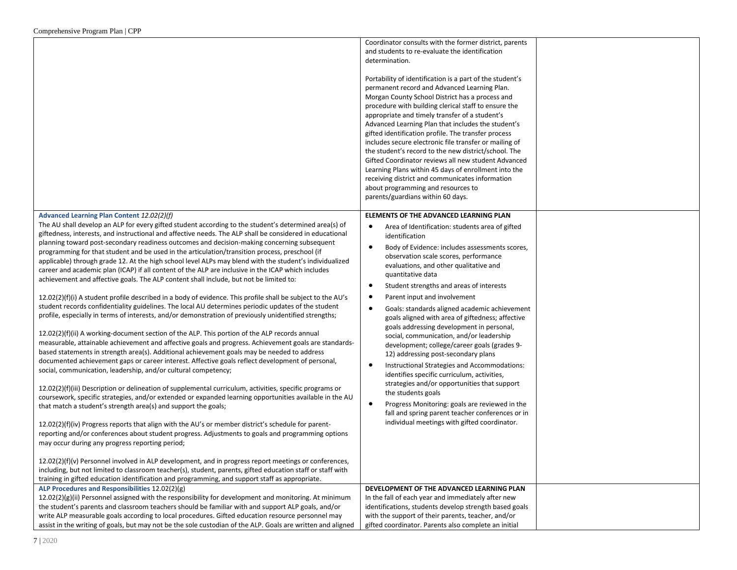|                                                                                                                                                                                                                                                                                                                                                                                                                                                                                                                                                                                                                                                                                                                                                                                                                                                                                                                                                                                                                                                                                                                                                                                                                                                                                                                                                                                                                                                                                                                                                                                                                                                                                                                                                                                                                                                                                                                                                                                                                                                                                                                                                                                                                                                                                                                                                                                                                                                                            | Coordinator consults with the former district, parents<br>and students to re-evaluate the identification<br>determination.<br>Portability of identification is a part of the student's<br>permanent record and Advanced Learning Plan.<br>Morgan County School District has a process and<br>procedure with building clerical staff to ensure the<br>appropriate and timely transfer of a student's<br>Advanced Learning Plan that includes the student's<br>gifted identification profile. The transfer process<br>includes secure electronic file transfer or mailing of<br>the student's record to the new district/school. The<br>Gifted Coordinator reviews all new student Advanced<br>Learning Plans within 45 days of enrollment into the<br>receiving district and communicates information<br>about programming and resources to<br>parents/guardians within 60 days.                                                                                                                                                                        |
|----------------------------------------------------------------------------------------------------------------------------------------------------------------------------------------------------------------------------------------------------------------------------------------------------------------------------------------------------------------------------------------------------------------------------------------------------------------------------------------------------------------------------------------------------------------------------------------------------------------------------------------------------------------------------------------------------------------------------------------------------------------------------------------------------------------------------------------------------------------------------------------------------------------------------------------------------------------------------------------------------------------------------------------------------------------------------------------------------------------------------------------------------------------------------------------------------------------------------------------------------------------------------------------------------------------------------------------------------------------------------------------------------------------------------------------------------------------------------------------------------------------------------------------------------------------------------------------------------------------------------------------------------------------------------------------------------------------------------------------------------------------------------------------------------------------------------------------------------------------------------------------------------------------------------------------------------------------------------------------------------------------------------------------------------------------------------------------------------------------------------------------------------------------------------------------------------------------------------------------------------------------------------------------------------------------------------------------------------------------------------------------------------------------------------------------------------------------------------|--------------------------------------------------------------------------------------------------------------------------------------------------------------------------------------------------------------------------------------------------------------------------------------------------------------------------------------------------------------------------------------------------------------------------------------------------------------------------------------------------------------------------------------------------------------------------------------------------------------------------------------------------------------------------------------------------------------------------------------------------------------------------------------------------------------------------------------------------------------------------------------------------------------------------------------------------------------------------------------------------------------------------------------------------------|
| Advanced Learning Plan Content 12.02(2)(f)<br>The AU shall develop an ALP for every gifted student according to the student's determined area(s) of<br>giftedness, interests, and instructional and affective needs. The ALP shall be considered in educational<br>planning toward post-secondary readiness outcomes and decision-making concerning subsequent<br>programming for that student and be used in the articulation/transition process, preschool (if<br>applicable) through grade 12. At the high school level ALPs may blend with the student's individualized<br>career and academic plan (ICAP) if all content of the ALP are inclusive in the ICAP which includes<br>achievement and affective goals. The ALP content shall include, but not be limited to:<br>12.02(2)(f)(i) A student profile described in a body of evidence. This profile shall be subject to the AU's<br>student records confidentiality guidelines. The local AU determines periodic updates of the student<br>profile, especially in terms of interests, and/or demonstration of previously unidentified strengths;<br>12.02(2)(f)(ii) A working-document section of the ALP. This portion of the ALP records annual<br>measurable, attainable achievement and affective goals and progress. Achievement goals are standards-<br>based statements in strength area(s). Additional achievement goals may be needed to address<br>documented achievement gaps or career interest. Affective goals reflect development of personal,<br>social, communication, leadership, and/or cultural competency;<br>12.02(2)(f)(iii) Description or delineation of supplemental curriculum, activities, specific programs or<br>coursework, specific strategies, and/or extended or expanded learning opportunities available in the AU<br>that match a student's strength area(s) and support the goals;<br>12.02(2)(f)(iv) Progress reports that align with the AU's or member district's schedule for parent-<br>reporting and/or conferences about student progress. Adjustments to goals and programming options<br>may occur during any progress reporting period;<br>12.02(2)(f)(v) Personnel involved in ALP development, and in progress report meetings or conferences,<br>including, but not limited to classroom teacher(s), student, parents, gifted education staff or staff with<br>training in gifted education identification and programming, and support staff as appropriate. | ELEMENTS OF THE ADVANCED LEARNING PLAN<br>Area of Identification: students area of gifted<br>$\bullet$<br>identification<br>Body of Evidence: includes assessments scores,<br>$\bullet$<br>observation scale scores, performance<br>evaluations, and other qualitative and<br>quantitative data<br>Student strengths and areas of interests<br>$\bullet$<br>Parent input and involvement<br>- 0<br>Goals: standards aligned academic achievement<br>$\bullet$<br>goals aligned with area of giftedness; affective<br>goals addressing development in personal,<br>social, communication, and/or leadership<br>development; college/career goals (grades 9-<br>12) addressing post-secondary plans<br>Instructional Strategies and Accommodations:<br>$\bullet$<br>identifies specific curriculum, activities,<br>strategies and/or opportunities that support<br>the students goals<br>Progress Monitoring: goals are reviewed in the<br>$\bullet$<br>fall and spring parent teacher conferences or in<br>individual meetings with gifted coordinator. |
| ALP Procedures and Responsibilities 12.02(2)(g)<br>12.02(2)(g)(ii) Personnel assigned with the responsibility for development and monitoring. At minimum<br>the student's parents and classroom teachers should be familiar with and support ALP goals, and/or<br>write ALP measurable goals according to local procedures. Gifted education resource personnel may<br>assist in the writing of goals, but may not be the sole custodian of the ALP. Goals are written and aligned                                                                                                                                                                                                                                                                                                                                                                                                                                                                                                                                                                                                                                                                                                                                                                                                                                                                                                                                                                                                                                                                                                                                                                                                                                                                                                                                                                                                                                                                                                                                                                                                                                                                                                                                                                                                                                                                                                                                                                                         | DEVELOPMENT OF THE ADVANCED LEARNING PLAN<br>In the fall of each year and immediately after new<br>identifications, students develop strength based goals<br>with the support of their parents, teacher, and/or<br>gifted coordinator. Parents also complete an initial                                                                                                                                                                                                                                                                                                                                                                                                                                                                                                                                                                                                                                                                                                                                                                                |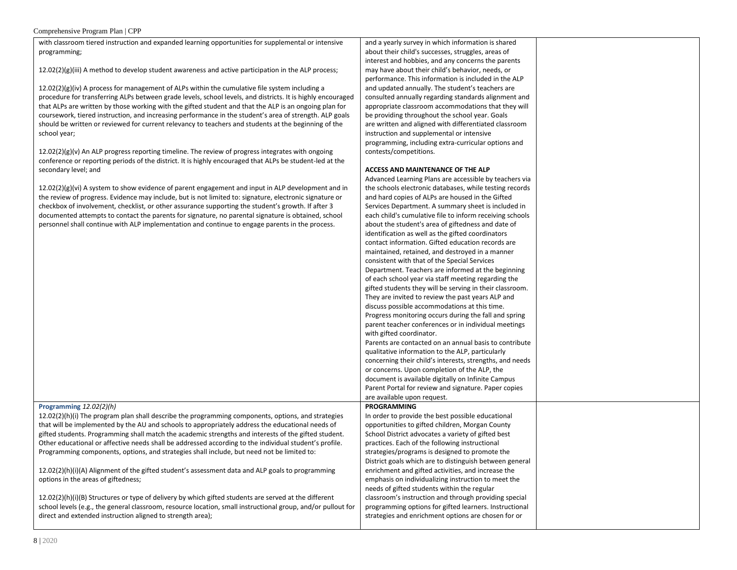with classroom tiered instruction and expanded learning opportunities for supplemental or intensive programming;

12.02(2)(g)(iii) A method to develop student awareness and active participation in the ALP process;

 $12.02(2)(g)(iv)$  A process for management of ALPs within the cumulative file system including a procedure for transferring ALPs between grade levels, school levels, and districts. It is highly encouraged that ALPs are written by those working with the gifted student and that the ALP is an ongoing plan for coursework, tiered instruction, and increasing performance in the student's area of strength. ALP goals should be written or reviewed for current relevancy to teachers and students at the beginning of the school year;

 $12.02(2)(g)(v)$  An ALP progress reporting timeline. The review of progress integrates with ongoing conference or reporting periods of the district. It is highly encouraged that ALPs be student-led at the secondary level; and

 $12.02(2)(g)(vi)$  A system to show evidence of parent engagement and input the review of progress. Evidence may include, but is not limited to: signature checkbox of involvement, checklist, or other assurance supporting the stude documented attempts to contact the parents for signature, no parental sign personnel shall continue with ALP implementation and continue to engage parents in the process. and a yearly survey in which information is shared about their child's successes, struggles, areas of interest and hobbies, and any concerns the parents may have about their child's behavior, needs, or performance. This information is included in the ALP and updated annually. The student's teachers are consulted annually regarding standards alignment and appropriate classroom accommodations that they will be providing throughout the school year. Goals are written and aligned with differentiated classroom instruction and supplemental or intensive programming, including extra-curricular options and contests/competitions.

### **ACCESS AND MAINTENANCE OF THE ALP**

|                               | Advanced Learning Plans are accessible by teachers via   |  |
|-------------------------------|----------------------------------------------------------|--|
| in ALP development and in     | the schools electronic databases, while testing records  |  |
| e, electronic signature or    | and hard copies of ALPs are housed in the Gifted         |  |
| ent's growth. If after 3      | Services Department. A summary sheet is included in      |  |
| ature is obtained, school     | each child's cumulative file to inform receiving schools |  |
| parents in the process.       | about the student's area of giftedness and date of       |  |
|                               | identification as well as the gifted coordinators        |  |
|                               | contact information. Gifted education records are        |  |
|                               | maintained, retained, and destroyed in a manner          |  |
|                               | consistent with that of the Special Services             |  |
|                               | Department. Teachers are informed at the beginning       |  |
|                               | of each school year via staff meeting regarding the      |  |
|                               | gifted students they will be serving in their classroom. |  |
|                               | They are invited to review the past years ALP and        |  |
|                               | discuss possible accommodations at this time.            |  |
|                               | Progress monitoring occurs during the fall and spring    |  |
|                               | parent teacher conferences or in individual meetings     |  |
|                               | with gifted coordinator.                                 |  |
|                               | Parents are contacted on an annual basis to contribute   |  |
|                               | qualitative information to the ALP, particularly         |  |
|                               | concerning their child's interests, strengths, and needs |  |
|                               | or concerns. Upon completion of the ALP, the             |  |
|                               | document is available digitally on Infinite Campus       |  |
|                               | Parent Portal for review and signature. Paper copies     |  |
|                               | are available upon request.                              |  |
|                               | <b>PROGRAMMING</b>                                       |  |
| s, options, and strategies    | In order to provide the best possible educational        |  |
| e educational needs of        | opportunities to gifted children, Morgan County          |  |
| ests of the gifted student.   | School District advocates a variety of gifted best       |  |
| lividual student's profile.   | practices. Each of the following instructional           |  |
| ot be limited to:             | strategies/programs is designed to promote the           |  |
|                               | District goals which are to distinguish between general  |  |
| goals to programming          | enrichment and gifted activities, and increase the       |  |
|                               | emphasis on individualizing instruction to meet the      |  |
|                               | needs of gifted students within the regular              |  |
| served at the different       | classroom's instruction and through providing special    |  |
| nal group, and/or pullout for | programming options for gifted learners. Instructional   |  |
|                               | strategies and enrichment options are chosen for or      |  |
|                               |                                                          |  |

### **Programming** *12.02(2)(h)*

12.02(2)(h)(i) The program plan shall describe the programming components that will be implemented by the AU and schools to appropriately address the gifted students. Programming shall match the academic strengths and intere Other educational or affective needs shall be addressed according to the ind Programming components, options, and strategies shall include, but need no

12.02(2)(h)(i)(A) Alignment of the gifted student's assessment data and ALP options in the areas of giftedness;

12.02(2)(h)(i)(B) Structures or type of delivery by which gifted students are served at the different school levels (e.g., the general classroom, resource location, small instruction direct and extended instruction aligned to strength area);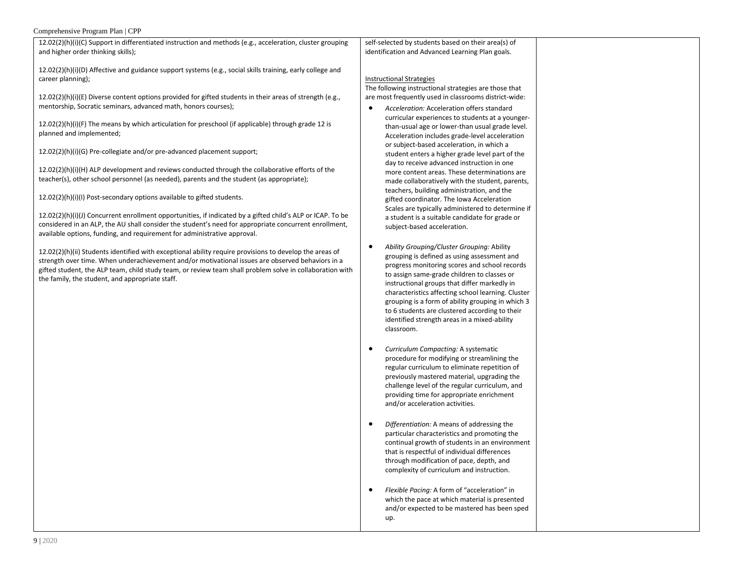| 12.02(2)(h)(i)(C) Support in differentiated instruction and methods (e.g., acceleration, cluster grouping<br>and higher order thinking skills);                                                                                                                                                                                                                                                                           | self-selected by students based on their area(s) of<br>identification and Advanced Learning Plan goals.                                                                                                                       |  |
|---------------------------------------------------------------------------------------------------------------------------------------------------------------------------------------------------------------------------------------------------------------------------------------------------------------------------------------------------------------------------------------------------------------------------|-------------------------------------------------------------------------------------------------------------------------------------------------------------------------------------------------------------------------------|--|
| 12.02(2)(h)(i)(D) Affective and guidance support systems (e.g., social skills training, early college and<br>career planning);<br>$12.02(2)(h)(i)(E)$ Diverse content options provided for gifted students in their areas of strength (e.g.,<br>mentorship, Socratic seminars, advanced math, honors courses);                                                                                                            | <b>Instructional Strategies</b><br>The following instructional strategies are those that<br>are most frequently used in classrooms district-wide:<br>Acceleration: Acceleration offers standard                               |  |
| $12.02(2)(h)(i)(F)$ The means by which articulation for preschool (if applicable) through grade 12 is<br>planned and implemented;                                                                                                                                                                                                                                                                                         | curricular experiences to students at a younger-<br>than-usual age or lower-than usual grade level.<br>Acceleration includes grade-level acceleration<br>or subject-based acceleration, in which a                            |  |
| 12.02(2)(h)(i)(G) Pre-collegiate and/or pre-advanced placement support;<br>$12.02(2)(h)(i)(H)$ ALP development and reviews conducted through the collaborative efforts of the<br>teacher(s), other school personnel (as needed), parents and the student (as appropriate);                                                                                                                                                | student enters a higher grade level part of the<br>day to receive advanced instruction in one<br>more content areas. These determinations are<br>made collaboratively with the student, parents,                              |  |
| 12.02(2)(h)(i)(l) Post-secondary options available to gifted students.<br>12.02(2)(h)(i)(J) Concurrent enrollment opportunities, if indicated by a gifted child's ALP or ICAP. To be<br>considered in an ALP, the AU shall consider the student's need for appropriate concurrent enrollment,                                                                                                                             | teachers, building administration, and the<br>gifted coordinator. The Iowa Acceleration<br>Scales are typically administered to determine if<br>a student is a suitable candidate for grade or<br>subject-based acceleration. |  |
| available options, funding, and requirement for administrative approval.<br>12.02(2)(h)(ii) Students identified with exceptional ability require provisions to develop the areas of<br>$\mathcal{L}$ , and the state of the state of the state of the state of the state of the state of the state of the state of the state of the state of the state of the state of the state of the state of the state of the state o | Ability Grouping/Cluster Grouping: Ability<br>grouping is defined as using assessment and                                                                                                                                     |  |

strength over time. When underachievement and/or motivational issues are observed behaviors in a gifted student, the ALP team, child study team, or review team shall problem solve in collaboration with the family, the student, and appropriate staff. progress monitoring scores and school records to assign same-grade children to classes or instructional groups that differ markedly in characteristics affecting school learning. Cluster grouping is a form of ability grouping in which 3

> *Curriculum Compacting:* A systematic procedure for modifying or streamlining the regular curriculum to eliminate repetition of previously mastered material, upgrading the challenge level of the regular curriculum, and providing time for appropriate enrichment and/or acceleration activities.

classroom.

to 6 students are clustered according to their identified strength areas in a mixed-ability

- *Differentiation:* A means of addressing the particular characteristics and promoting the continual growth of students in an environment that is respectful of individual differences through modification of pace, depth, and complexity of curriculum and instruction.
- *Flexible Pacing:* A form of "acceleration" in which the pace at which material is presented and/or expected to be mastered has been sped up.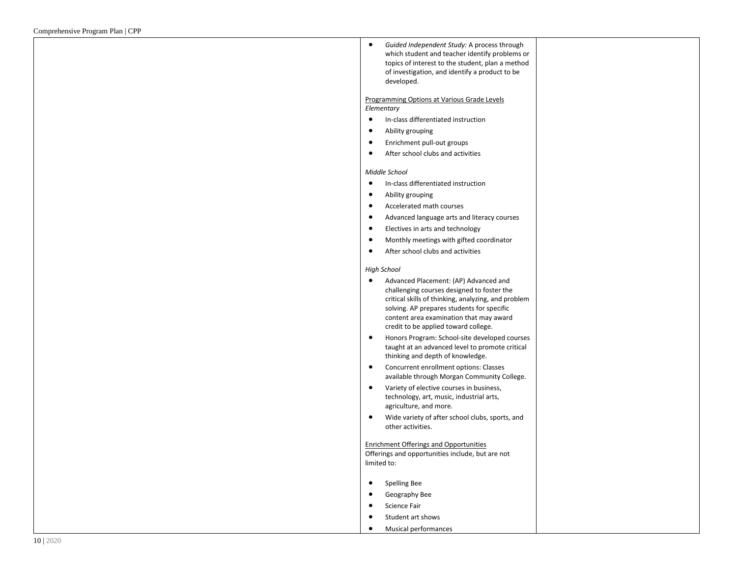*Guided Independent Study:* A process through which student and teacher identify problems or topics of interest to the student, plan a method of investigation, and identify a product to be developed.

Programming Options at Various Grade Levels *Elementary*

- **•** In-class differentiated instruction
- Ability grouping
- Enrichment pull-out groups
- After school clubs and activities

#### *Middle School*

- In-class differentiated instruction
- Ability grouping
- Accelerated math courses
- Advanced language arts and literacy courses
- Electives in arts and technology
- Monthly meetings with gifted coordinator
- After school clubs and activities

#### *High School*

- Advanced Placement: (AP) Advanced and challenging courses designed to foster the critical skills of thinking, analyzing, and problem solving. AP prepares students for specific content area examination that may award credit to be applied toward college.
- Honors Program: School-site developed courses taught at an advanced level to promote critical thinking and depth of knowledge.
- Concurrent enrollment options: Classes available through Morgan Community College.
- Variety of elective courses in business, technology, art, music, industrial arts, agriculture, and more.
- Wide variety of after school clubs, sports, and other activities.

### Enrichment Offerings and Opportunities

Offerings and opportunities include, but are not limited to:

- **•** Spelling Bee
- **•** Geography Bee
- **•** Science Fair
- Student art shows
- Musical performances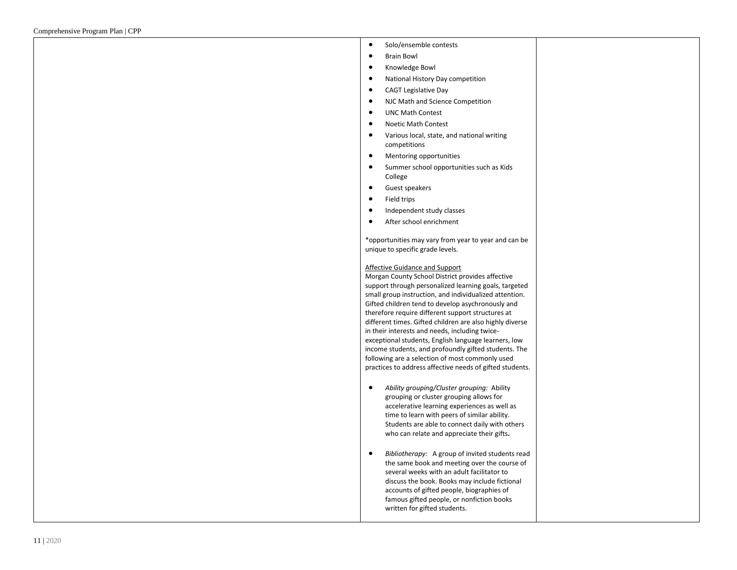- Solo/ensemble contests
- Brain Bowl
- Knowledge Bowl
- National History Day competition
- CAGT Legislative Day
- NJC Math and Science Competition
- UNC Math Contest
- Noetic Math Contest
- Various local, state, and national writing competitions
- Mentoring opportunities
- Summer school opportunities such as Kids College
- **•** Guest speakers
- **•** Field trips
- Independent study classes
- After school enrichment

\*opportunities may vary from year to year and can be unique to specific grade levels.

#### Affective Guidance and Support

Morgan County School District provides affective support through personalized learning goals, targeted small group instruction, and individualized attention. Gifted children tend to develop asychronously and therefore require different support structures at different times. Gifted children are also highly diverse in their interests and needs, including twice exceptional students, English language learners, low income students, and profoundly gifted students. The following are a selection of most commonly used practices to address affective needs of gifted students.

- *Ability grouping/Cluster grouping:* Ability grouping or cluster grouping allows for accelerative learning experiences as well as time to learn with peers of similar ability. Students are able to connect daily with others who can relate and appreciate their gifts **.**
- *Bibliotherapy:* A group of invited students read the same book and meeting over the course of several weeks with an adult facilitator to discuss the book. Books may include fictional accounts of gifted people, biographies of famous gifted people, or nonfiction books written for gifted students.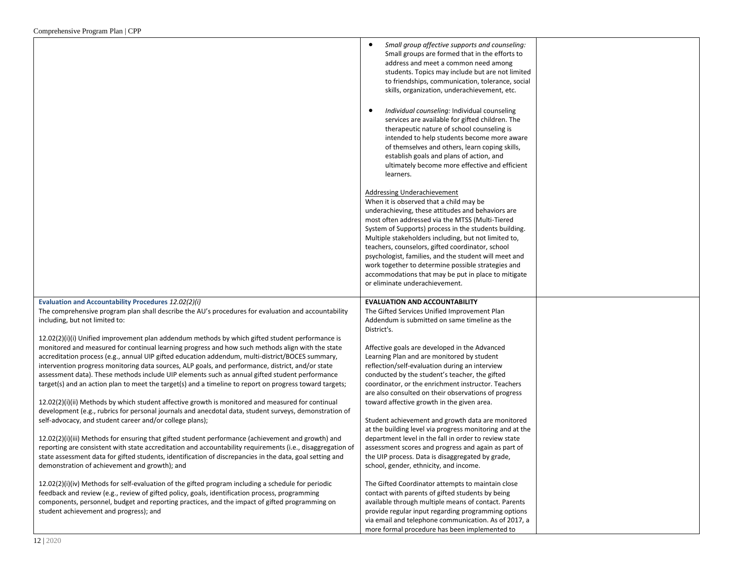|                                                                                                                                                                                                                                                                                                                                                                                                                                                                                                                                                                                                                           | Small group affective supports and counseling:<br>Small groups are formed that in the efforts to<br>address and meet a common need among<br>students. Topics may include but are not limited<br>to friendships, communication, tolerance, social<br>skills, organization, underachievement, etc.<br>Individual counseling: Individual counseling<br>$\bullet$<br>services are available for gifted children. The<br>therapeutic nature of school counseling is<br>intended to help students become more aware<br>of themselves and others, learn coping skills,<br>establish goals and plans of action, and<br>ultimately become more effective and efficient<br>learners. |  |
|---------------------------------------------------------------------------------------------------------------------------------------------------------------------------------------------------------------------------------------------------------------------------------------------------------------------------------------------------------------------------------------------------------------------------------------------------------------------------------------------------------------------------------------------------------------------------------------------------------------------------|----------------------------------------------------------------------------------------------------------------------------------------------------------------------------------------------------------------------------------------------------------------------------------------------------------------------------------------------------------------------------------------------------------------------------------------------------------------------------------------------------------------------------------------------------------------------------------------------------------------------------------------------------------------------------|--|
|                                                                                                                                                                                                                                                                                                                                                                                                                                                                                                                                                                                                                           | Addressing Underachievement<br>When it is observed that a child may be<br>underachieving, these attitudes and behaviors are<br>most often addressed via the MTSS (Multi-Tiered<br>System of Supports) process in the students building.<br>Multiple stakeholders including, but not limited to,<br>teachers, counselors, gifted coordinator, school<br>psychologist, families, and the student will meet and<br>work together to determine possible strategies and<br>accommodations that may be put in place to mitigate<br>or eliminate underachievement.                                                                                                                |  |
| Evaluation and Accountability Procedures 12.02(2)(i)<br>The comprehensive program plan shall describe the AU's procedures for evaluation and accountability<br>including, but not limited to:                                                                                                                                                                                                                                                                                                                                                                                                                             | <b>EVALUATION AND ACCOUNTABILITY</b><br>The Gifted Services Unified Improvement Plan<br>Addendum is submitted on same timeline as the                                                                                                                                                                                                                                                                                                                                                                                                                                                                                                                                      |  |
| 12.02(2)(i)(i) Unified improvement plan addendum methods by which gifted student performance is<br>monitored and measured for continual learning progress and how such methods align with the state<br>accreditation process (e.g., annual UIP gifted education addendum, multi-district/BOCES summary,<br>intervention progress monitoring data sources, ALP goals, and performance, district, and/or state<br>assessment data). These methods include UIP elements such as annual gifted student performance<br>target(s) and an action plan to meet the target(s) and a timeline to report on progress toward targets; | District's.<br>Affective goals are developed in the Advanced<br>Learning Plan and are monitored by student<br>reflection/self-evaluation during an interview<br>conducted by the student's teacher, the gifted<br>coordinator, or the enrichment instructor. Teachers<br>are also consulted on their observations of progress                                                                                                                                                                                                                                                                                                                                              |  |
| $12.02(2)(i)(ii)$ Methods by which student affective growth is monitored and measured for continual<br>development (e.g., rubrics for personal journals and anecdotal data, student surveys, demonstration of<br>self-advocacy, and student career and/or college plans);                                                                                                                                                                                                                                                                                                                                                 | toward affective growth in the given area.<br>Student achievement and growth data are monitored                                                                                                                                                                                                                                                                                                                                                                                                                                                                                                                                                                            |  |
| 12.02(2)(i)(iii) Methods for ensuring that gifted student performance (achievement and growth) and<br>reporting are consistent with state accreditation and accountability requirements (i.e., disaggregation of<br>state assessment data for gifted students, identification of discrepancies in the data, goal setting and<br>demonstration of achievement and growth); and                                                                                                                                                                                                                                             | at the building level via progress monitoring and at the<br>department level in the fall in order to review state<br>assessment scores and progress and again as part of<br>the UIP process. Data is disaggregated by grade,<br>school, gender, ethnicity, and income.                                                                                                                                                                                                                                                                                                                                                                                                     |  |
| $12.02(2)(i)(iv)$ Methods for self-evaluation of the gifted program including a schedule for periodic<br>feedback and review (e.g., review of gifted policy, goals, identification process, programming<br>components, personnel, budget and reporting practices, and the impact of gifted programming on<br>student achievement and progress); and                                                                                                                                                                                                                                                                       | The Gifted Coordinator attempts to maintain close<br>contact with parents of gifted students by being<br>available through multiple means of contact. Parents<br>provide regular input regarding programming options<br>via email and telephone communication. As of 2017, a<br>more formal procedure has been implemented to                                                                                                                                                                                                                                                                                                                                              |  |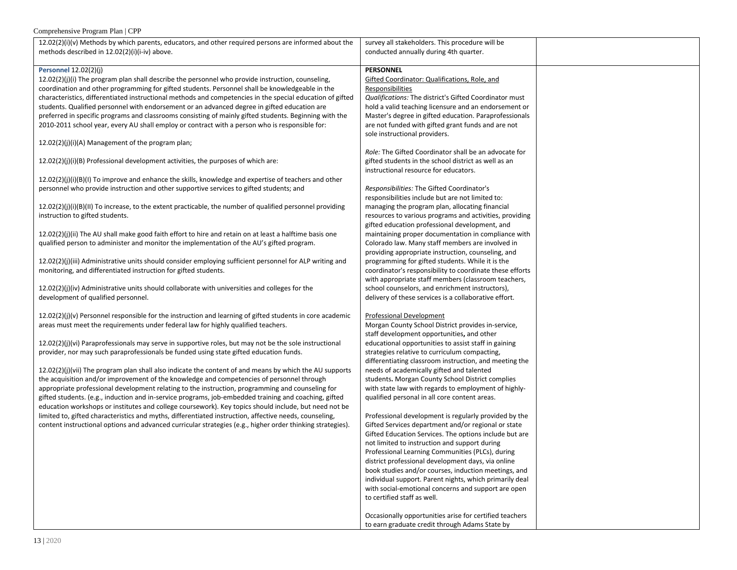| Complemensive i rogram i fan   Ci i                                                                                                     |                                                                                                          |  |
|-----------------------------------------------------------------------------------------------------------------------------------------|----------------------------------------------------------------------------------------------------------|--|
| $12.02(2)(i)(v)$ Methods by which parents, educators, and other required persons are informed about the                                 | survey all stakeholders. This procedure will be                                                          |  |
| methods described in 12.02(2)(i)(i-iv) above.                                                                                           | conducted annually during 4th quarter.                                                                   |  |
|                                                                                                                                         |                                                                                                          |  |
| Personnel 12.02(2)(j)                                                                                                                   | <b>PERSONNEL</b>                                                                                         |  |
| 12.02(2)(j)(i) The program plan shall describe the personnel who provide instruction, counseling,                                       | Gifted Coordinator: Qualifications, Role, and                                                            |  |
| coordination and other programming for gifted students. Personnel shall be knowledgeable in the                                         | Responsibilities                                                                                         |  |
| characteristics, differentiated instructional methods and competencies in the special education of gifted                               | Qualifications: The district's Gifted Coordinator must                                                   |  |
| students. Qualified personnel with endorsement or an advanced degree in gifted education are                                            | hold a valid teaching licensure and an endorsement or                                                    |  |
| preferred in specific programs and classrooms consisting of mainly gifted students. Beginning with the                                  | Master's degree in gifted education. Paraprofessionals                                                   |  |
| 2010-2011 school year, every AU shall employ or contract with a person who is responsible for:                                          | are not funded with gifted grant funds and are not                                                       |  |
|                                                                                                                                         | sole instructional providers.                                                                            |  |
| 12.02(2)(j)(i)(A) Management of the program plan;                                                                                       |                                                                                                          |  |
|                                                                                                                                         | Role: The Gifted Coordinator shall be an advocate for                                                    |  |
| $12.02(2)(i)(i)(B)$ Professional development activities, the purposes of which are:                                                     | gifted students in the school district as well as an                                                     |  |
|                                                                                                                                         | instructional resource for educators.                                                                    |  |
| $12.02(2)(j)(i)(B)(l)$ To improve and enhance the skills, knowledge and expertise of teachers and other                                 |                                                                                                          |  |
| personnel who provide instruction and other supportive services to gifted students; and                                                 | Responsibilities: The Gifted Coordinator's                                                               |  |
|                                                                                                                                         | responsibilities include but are not limited to:                                                         |  |
| $12.02(2)(j)(i)(B)(II)$ To increase, to the extent practicable, the number of qualified personnel providing                             | managing the program plan, allocating financial                                                          |  |
| instruction to gifted students.                                                                                                         | resources to various programs and activities, providing                                                  |  |
|                                                                                                                                         | gifted education professional development, and                                                           |  |
| 12.02(2)(j)(ii) The AU shall make good faith effort to hire and retain on at least a halftime basis one                                 | maintaining proper documentation in compliance with                                                      |  |
| qualified person to administer and monitor the implementation of the AU's gifted program.                                               | Colorado law. Many staff members are involved in                                                         |  |
|                                                                                                                                         | providing appropriate instruction, counseling, and                                                       |  |
| 12.02(2)(j)(iii) Administrative units should consider employing sufficient personnel for ALP writing and                                | programming for gifted students. While it is the                                                         |  |
| monitoring, and differentiated instruction for gifted students.                                                                         | coordinator's responsibility to coordinate these efforts                                                 |  |
|                                                                                                                                         | with appropriate staff members (classroom teachers,                                                      |  |
| $12.02(2)(j)(iv)$ Administrative units should collaborate with universities and colleges for the<br>development of qualified personnel. | school counselors, and enrichment instructors),<br>delivery of these services is a collaborative effort. |  |
|                                                                                                                                         |                                                                                                          |  |
| $12.02(2)(j)(v)$ Personnel responsible for the instruction and learning of gifted students in core academic                             | <b>Professional Development</b>                                                                          |  |
| areas must meet the requirements under federal law for highly qualified teachers.                                                       | Morgan County School District provides in-service,                                                       |  |
|                                                                                                                                         | staff development opportunities, and other                                                               |  |
| 12.02(2)(j)(vi) Paraprofessionals may serve in supportive roles, but may not be the sole instructional                                  | educational opportunities to assist staff in gaining                                                     |  |
| provider, nor may such paraprofessionals be funded using state gifted education funds.                                                  | strategies relative to curriculum compacting,                                                            |  |
|                                                                                                                                         | differentiating classroom instruction, and meeting the                                                   |  |
| 12.02(2)(j)(vii) The program plan shall also indicate the content of and means by which the AU supports                                 | needs of academically gifted and talented                                                                |  |
| the acquisition and/or improvement of the knowledge and competencies of personnel through                                               | students. Morgan County School District complies                                                         |  |
| appropriate professional development relating to the instruction, programming and counseling for                                        | with state law with regards to employment of highly-                                                     |  |
| gifted students. (e.g., induction and in-service programs, job-embedded training and coaching, gifted                                   | qualified personal in all core content areas.                                                            |  |
| education workshops or institutes and college coursework). Key topics should include, but need not be                                   |                                                                                                          |  |
| limited to, gifted characteristics and myths, differentiated instruction, affective needs, counseling,                                  | Professional development is regularly provided by the                                                    |  |
| content instructional options and advanced curricular strategies (e.g., higher order thinking strategies).                              | Gifted Services department and/or regional or state                                                      |  |
|                                                                                                                                         | Gifted Education Services. The options include but are                                                   |  |
|                                                                                                                                         | not limited to instruction and support during                                                            |  |
|                                                                                                                                         | Professional Learning Communities (PLCs), during                                                         |  |
|                                                                                                                                         | district professional development days, via online                                                       |  |
|                                                                                                                                         | book studies and/or courses, induction meetings, and                                                     |  |
|                                                                                                                                         | individual support. Parent nights, which primarily deal                                                  |  |
|                                                                                                                                         | with social-emotional concerns and support are open                                                      |  |
|                                                                                                                                         | to certified staff as well.                                                                              |  |
|                                                                                                                                         |                                                                                                          |  |
|                                                                                                                                         | Occasionally opportunities arise for certified teachers                                                  |  |

to earn graduate credit through Adams State by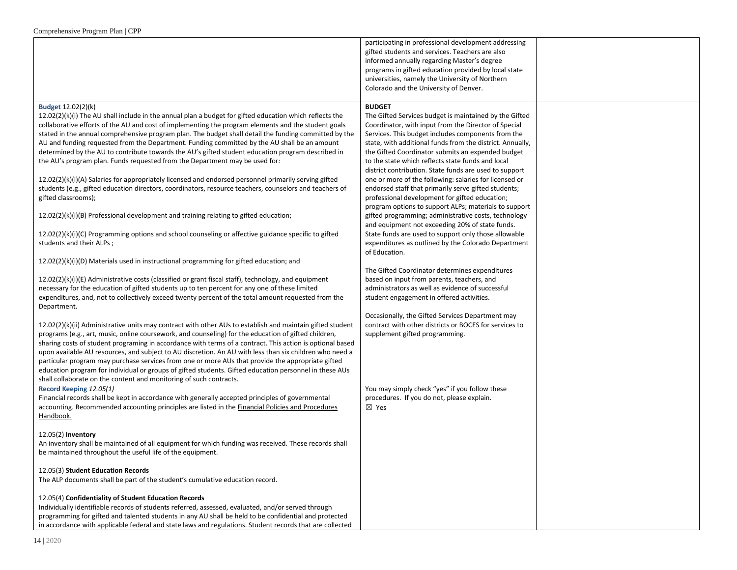|                                                                                                                                                                                                                                                                                                                                                                                                                                                                                                                                                                                                                                                                                                                                                                                                                                                                                                                                                                                                                                                                                                                                                                                                                                                                                                                                                                                                                                                                                                                                                                                                                                                                                                                                                                                                                                                                                                                                                                                                                                                                                                                                                                                                                                                                             | participating in professional development addressing<br>gifted students and services. Teachers are also<br>informed annually regarding Master's degree<br>programs in gifted education provided by local state<br>universities, namely the University of Northern<br>Colorado and the University of Denver.                                                                                                                                                                                                                                                                                                                                                                                                                                                                                                                                                                                                                                                                                                                                                                                                                                                                                                                                     |  |
|-----------------------------------------------------------------------------------------------------------------------------------------------------------------------------------------------------------------------------------------------------------------------------------------------------------------------------------------------------------------------------------------------------------------------------------------------------------------------------------------------------------------------------------------------------------------------------------------------------------------------------------------------------------------------------------------------------------------------------------------------------------------------------------------------------------------------------------------------------------------------------------------------------------------------------------------------------------------------------------------------------------------------------------------------------------------------------------------------------------------------------------------------------------------------------------------------------------------------------------------------------------------------------------------------------------------------------------------------------------------------------------------------------------------------------------------------------------------------------------------------------------------------------------------------------------------------------------------------------------------------------------------------------------------------------------------------------------------------------------------------------------------------------------------------------------------------------------------------------------------------------------------------------------------------------------------------------------------------------------------------------------------------------------------------------------------------------------------------------------------------------------------------------------------------------------------------------------------------------------------------------------------------------|-------------------------------------------------------------------------------------------------------------------------------------------------------------------------------------------------------------------------------------------------------------------------------------------------------------------------------------------------------------------------------------------------------------------------------------------------------------------------------------------------------------------------------------------------------------------------------------------------------------------------------------------------------------------------------------------------------------------------------------------------------------------------------------------------------------------------------------------------------------------------------------------------------------------------------------------------------------------------------------------------------------------------------------------------------------------------------------------------------------------------------------------------------------------------------------------------------------------------------------------------|--|
| Budget 12.02(2)(k)<br>$12.02(2)(k)(i)$ The AU shall include in the annual plan a budget for gifted education which reflects the<br>collaborative efforts of the AU and cost of implementing the program elements and the student goals<br>stated in the annual comprehensive program plan. The budget shall detail the funding committed by the<br>AU and funding requested from the Department. Funding committed by the AU shall be an amount<br>determined by the AU to contribute towards the AU's gifted student education program described in<br>the AU's program plan. Funds requested from the Department may be used for:<br>12.02(2)(k)(i)(A) Salaries for appropriately licensed and endorsed personnel primarily serving gifted<br>students (e.g., gifted education directors, coordinators, resource teachers, counselors and teachers of<br>gifted classrooms);<br>$12.02(2)(k)(i)(B)$ Professional development and training relating to gifted education;<br>12.02(2)(k)(i)(C) Programming options and school counseling or affective guidance specific to gifted<br>students and their ALPs;<br>12.02(2)(k)(i)(D) Materials used in instructional programming for gifted education; and<br>12.02(2)(k)(i)(E) Administrative costs (classified or grant fiscal staff), technology, and equipment<br>necessary for the education of gifted students up to ten percent for any one of these limited<br>expenditures, and, not to collectively exceed twenty percent of the total amount requested from the<br>Department.<br>$12.02(2)(k)(ii)$ Administrative units may contract with other AUs to establish and maintain gifted student<br>programs (e.g., art, music, online coursework, and counseling) for the education of gifted children,<br>sharing costs of student programing in accordance with terms of a contract. This action is optional based<br>upon available AU resources, and subject to AU discretion. An AU with less than six children who need a<br>particular program may purchase services from one or more AUs that provide the appropriate gifted<br>education program for individual or groups of gifted students. Gifted education personnel in these AUs<br>shall collaborate on the content and monitoring of such contracts. | <b>BUDGET</b><br>The Gifted Services budget is maintained by the Gifted<br>Coordinator, with input from the Director of Special<br>Services. This budget includes components from the<br>state, with additional funds from the district. Annually,<br>the Gifted Coordinator submits an expended budget<br>to the state which reflects state funds and local<br>district contribution. State funds are used to support<br>one or more of the following: salaries for licensed or<br>endorsed staff that primarily serve gifted students;<br>professional development for gifted education;<br>program options to support ALPs; materials to support<br>gifted programming; administrative costs, technology<br>and equipment not exceeding 20% of state funds.<br>State funds are used to support only those allowable<br>expenditures as outlined by the Colorado Department<br>of Education.<br>The Gifted Coordinator determines expenditures<br>based on input from parents, teachers, and<br>administrators as well as evidence of successful<br>student engagement in offered activities.<br>Occasionally, the Gifted Services Department may<br>contract with other districts or BOCES for services to<br>supplement gifted programming. |  |
| Record Keeping 12.05(1)<br>Financial records shall be kept in accordance with generally accepted principles of governmental<br>accounting. Recommended accounting principles are listed in the Financial Policies and Procedures<br>Handbook.                                                                                                                                                                                                                                                                                                                                                                                                                                                                                                                                                                                                                                                                                                                                                                                                                                                                                                                                                                                                                                                                                                                                                                                                                                                                                                                                                                                                                                                                                                                                                                                                                                                                                                                                                                                                                                                                                                                                                                                                                               | You may simply check "yes" if you follow these<br>procedures. If you do not, please explain.<br>$\boxtimes$ Yes                                                                                                                                                                                                                                                                                                                                                                                                                                                                                                                                                                                                                                                                                                                                                                                                                                                                                                                                                                                                                                                                                                                                 |  |
| 12.05(2) Inventory<br>An inventory shall be maintained of all equipment for which funding was received. These records shall<br>be maintained throughout the useful life of the equipment.                                                                                                                                                                                                                                                                                                                                                                                                                                                                                                                                                                                                                                                                                                                                                                                                                                                                                                                                                                                                                                                                                                                                                                                                                                                                                                                                                                                                                                                                                                                                                                                                                                                                                                                                                                                                                                                                                                                                                                                                                                                                                   |                                                                                                                                                                                                                                                                                                                                                                                                                                                                                                                                                                                                                                                                                                                                                                                                                                                                                                                                                                                                                                                                                                                                                                                                                                                 |  |
| 12.05(3) Student Education Records<br>The ALP documents shall be part of the student's cumulative education record.                                                                                                                                                                                                                                                                                                                                                                                                                                                                                                                                                                                                                                                                                                                                                                                                                                                                                                                                                                                                                                                                                                                                                                                                                                                                                                                                                                                                                                                                                                                                                                                                                                                                                                                                                                                                                                                                                                                                                                                                                                                                                                                                                         |                                                                                                                                                                                                                                                                                                                                                                                                                                                                                                                                                                                                                                                                                                                                                                                                                                                                                                                                                                                                                                                                                                                                                                                                                                                 |  |
| 12.05(4) Confidentiality of Student Education Records<br>Individually identifiable records of students referred, assessed, evaluated, and/or served through<br>programming for gifted and talented students in any AU shall be held to be confidential and protected<br>in accordance with applicable federal and state laws and regulations. Student records that are collected                                                                                                                                                                                                                                                                                                                                                                                                                                                                                                                                                                                                                                                                                                                                                                                                                                                                                                                                                                                                                                                                                                                                                                                                                                                                                                                                                                                                                                                                                                                                                                                                                                                                                                                                                                                                                                                                                            |                                                                                                                                                                                                                                                                                                                                                                                                                                                                                                                                                                                                                                                                                                                                                                                                                                                                                                                                                                                                                                                                                                                                                                                                                                                 |  |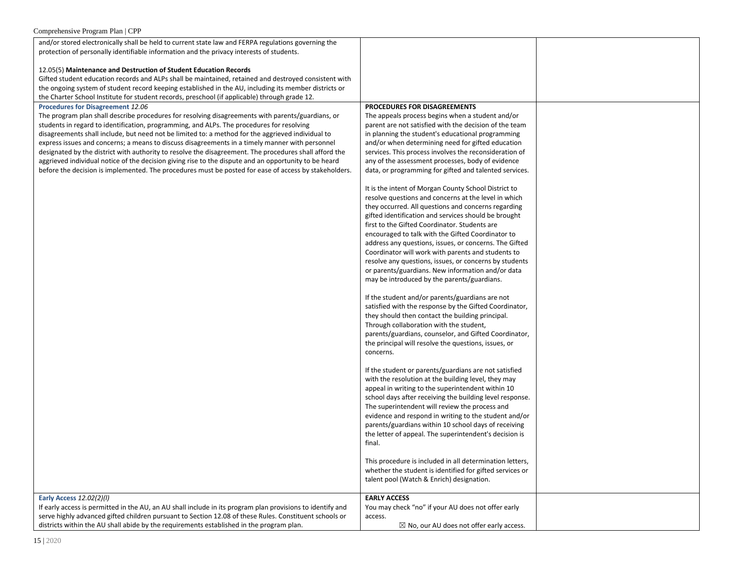| and/or stored electronically shall be held to current state law and FERPA regulations governing the        |                                                          |  |
|------------------------------------------------------------------------------------------------------------|----------------------------------------------------------|--|
| protection of personally identifiable information and the privacy interests of students.                   |                                                          |  |
|                                                                                                            |                                                          |  |
| 12.05(5) Maintenance and Destruction of Student Education Records                                          |                                                          |  |
| Gifted student education records and ALPs shall be maintained, retained and destroyed consistent with      |                                                          |  |
| the ongoing system of student record keeping established in the AU, including its member districts or      |                                                          |  |
| the Charter School Institute for student records, preschool (if applicable) through grade 12.              |                                                          |  |
| Procedures for Disagreement 12.06                                                                          | PROCEDURES FOR DISAGREEMENTS                             |  |
| The program plan shall describe procedures for resolving disagreements with parents/guardians, or          | The appeals process begins when a student and/or         |  |
| students in regard to identification, programming, and ALPs. The procedures for resolving                  | parent are not satisfied with the decision of the team   |  |
|                                                                                                            |                                                          |  |
| disagreements shall include, but need not be limited to: a method for the aggrieved individual to          | in planning the student's educational programming        |  |
| express issues and concerns; a means to discuss disagreements in a timely manner with personnel            | and/or when determining need for gifted education        |  |
| designated by the district with authority to resolve the disagreement. The procedures shall afford the     | services. This process involves the reconsideration of   |  |
| aggrieved individual notice of the decision giving rise to the dispute and an opportunity to be heard      | any of the assessment processes, body of evidence        |  |
| before the decision is implemented. The procedures must be posted for ease of access by stakeholders.      | data, or programming for gifted and talented services.   |  |
|                                                                                                            |                                                          |  |
|                                                                                                            | It is the intent of Morgan County School District to     |  |
|                                                                                                            | resolve questions and concerns at the level in which     |  |
|                                                                                                            | they occurred. All questions and concerns regarding      |  |
|                                                                                                            | gifted identification and services should be brought     |  |
|                                                                                                            | first to the Gifted Coordinator. Students are            |  |
|                                                                                                            | encouraged to talk with the Gifted Coordinator to        |  |
|                                                                                                            | address any questions, issues, or concerns. The Gifted   |  |
|                                                                                                            | Coordinator will work with parents and students to       |  |
|                                                                                                            | resolve any questions, issues, or concerns by students   |  |
|                                                                                                            | or parents/guardians. New information and/or data        |  |
|                                                                                                            | may be introduced by the parents/guardians.              |  |
|                                                                                                            |                                                          |  |
|                                                                                                            | If the student and/or parents/guardians are not          |  |
|                                                                                                            | satisfied with the response by the Gifted Coordinator,   |  |
|                                                                                                            |                                                          |  |
|                                                                                                            | they should then contact the building principal.         |  |
|                                                                                                            | Through collaboration with the student,                  |  |
|                                                                                                            | parents/guardians, counselor, and Gifted Coordinator,    |  |
|                                                                                                            | the principal will resolve the questions, issues, or     |  |
|                                                                                                            | concerns.                                                |  |
|                                                                                                            |                                                          |  |
|                                                                                                            | If the student or parents/guardians are not satisfied    |  |
|                                                                                                            | with the resolution at the building level, they may      |  |
|                                                                                                            | appeal in writing to the superintendent within 10        |  |
|                                                                                                            | school days after receiving the building level response. |  |
|                                                                                                            | The superintendent will review the process and           |  |
|                                                                                                            | evidence and respond in writing to the student and/or    |  |
|                                                                                                            | parents/guardians within 10 school days of receiving     |  |
|                                                                                                            | the letter of appeal. The superintendent's decision is   |  |
|                                                                                                            | final.                                                   |  |
|                                                                                                            |                                                          |  |
|                                                                                                            | This procedure is included in all determination letters, |  |
|                                                                                                            | whether the student is identified for gifted services or |  |
|                                                                                                            | talent pool (Watch & Enrich) designation.                |  |
|                                                                                                            |                                                          |  |
| Early Access 12.02(2)(l)                                                                                   | <b>EARLY ACCESS</b>                                      |  |
| If early access is permitted in the AU, an AU shall include in its program plan provisions to identify and | You may check "no" if your AU does not offer early       |  |
| serve highly advanced gifted children pursuant to Section 12.08 of these Rules. Constituent schools or     |                                                          |  |
|                                                                                                            | access.                                                  |  |
| districts within the AU shall abide by the requirements established in the program plan.                   | $\boxtimes$ No, our AU does not offer early access.      |  |